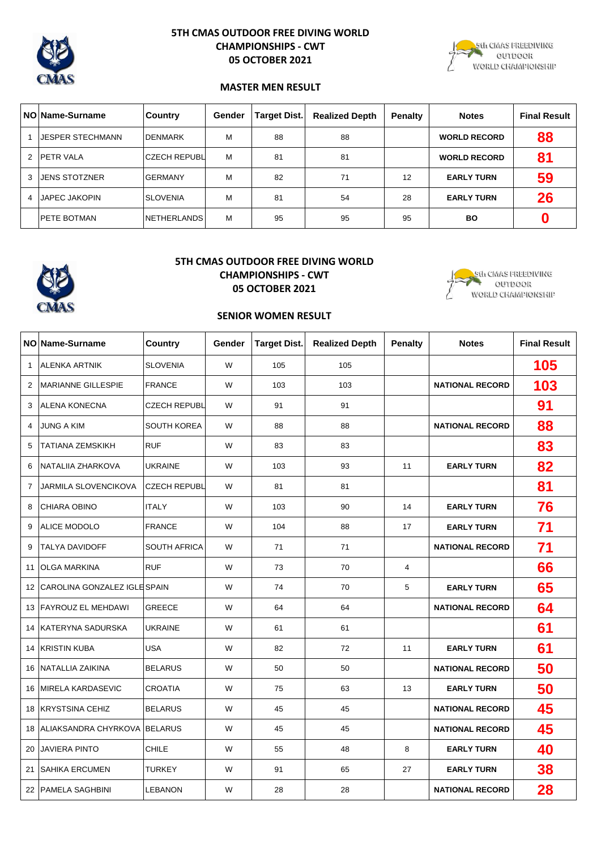

# **5TH CMAS OUTDOOR FREE DIVING WORLD CHAMPIONSHIPS - CWT 05 OCTOBER 2021**



## **MASTER MEN RESULT**

|   | NO Name-Surname         | Country             | Gender | <b>Target Dist.</b> | <b>Realized Depth</b> | Penalty | <b>Notes</b>        | <b>Final Result</b> |
|---|-------------------------|---------------------|--------|---------------------|-----------------------|---------|---------------------|---------------------|
|   | <b>UESPER STECHMANN</b> | <b>IDENMARK</b>     | М      | 88                  | 88                    |         | <b>WORLD RECORD</b> | 88                  |
| 2 | <b>PETR VALA</b>        | <b>CZECH REPUBL</b> | M      | 81                  | 81                    |         | <b>WORLD RECORD</b> | 81                  |
| 3 | <b>JENS STOTZNER</b>    | <b>GERMANY</b>      | М      | 82                  | 71                    | 12      | <b>EARLY TURN</b>   | 59                  |
| 4 | <b>JAPEC JAKOPIN</b>    | <b>SLOVENIA</b>     | м      | 81                  | 54                    | 28      | <b>EARLY TURN</b>   | 26                  |
|   | <b>IPETE BOTMAN</b>     | <b>NETHERLANDS</b>  | М      | 95                  | 95                    | 95      | <b>BO</b>           |                     |



## **5TH CMAS OUTDOOR FREE DIVING WORLD CHAMPIONSHIPS - CWT**

**05 OCTOBER 2021**



## **SENIOR WOMEN RESULT**

|                | NO Name-Surname                | <b>Country</b>      | Gender | <b>Target Dist.</b> | <b>Realized Depth</b> | <b>Penalty</b> | <b>Notes</b>           | <b>Final Result</b> |
|----------------|--------------------------------|---------------------|--------|---------------------|-----------------------|----------------|------------------------|---------------------|
| $\mathbf{1}$   | <b>ALENKA ARTNIK</b>           | <b>SLOVENIA</b>     | W      | 105                 | 105                   |                |                        | 105                 |
| $\overline{2}$ | <b>MARIANNE GILLESPIE</b>      | <b>FRANCE</b>       | W      | 103                 | 103                   |                | <b>NATIONAL RECORD</b> | 103                 |
| 3              | <b>ALENA KONECNA</b>           | <b>CZECH REPUBL</b> | W      | 91                  | 91                    |                |                        | 91                  |
| $\overline{4}$ | <b>JUNG A KIM</b>              | <b>SOUTH KOREA</b>  | W      | 88                  | 88                    |                | <b>NATIONAL RECORD</b> | 88                  |
| 5              | <b>TATIANA ZEMSKIKH</b>        | <b>RUF</b>          | W      | 83                  | 83                    |                |                        | 83                  |
| 6              | NATALIIA ZHARKOVA              | <b>UKRAINE</b>      | W      | 103                 | 93                    | 11             | <b>EARLY TURN</b>      | 82                  |
| $\overline{7}$ | JARMILA SLOVENCIKOVA           | <b>CZECH REPUBL</b> | W      | 81                  | 81                    |                |                        | 81                  |
| 8              | <b>CHIARA OBINO</b>            | <b>ITALY</b>        | W      | 103                 | 90                    | 14             | <b>EARLY TURN</b>      | 76                  |
| 9              | <b>ALICE MODOLO</b>            | <b>FRANCE</b>       | W      | 104                 | 88                    | 17             | <b>EARLY TURN</b>      | 71                  |
| 9              | <b>TALYA DAVIDOFF</b>          | <b>SOUTH AFRICA</b> | W      | 71                  | 71                    |                | <b>NATIONAL RECORD</b> | 71                  |
|                | 11 OLGA MARKINA                | <b>RUF</b>          | W      | 73                  | 70                    | $\overline{4}$ |                        | 66                  |
|                | 12 CAROLINA GONZALEZ IGLESPAIN |                     | W      | 74                  | 70                    | 5              | <b>EARLY TURN</b>      | 65                  |
|                | 13 FAYROUZ EL MEHDAWI          | <b>GREECE</b>       | W      | 64                  | 64                    |                | <b>NATIONAL RECORD</b> | 64                  |
|                | 14 KATERYNA SADURSKA           | <b>UKRAINE</b>      | W      | 61                  | 61                    |                |                        | 61                  |
|                | <b>14 KRISTIN KUBA</b>         | <b>USA</b>          | W      | 82                  | 72                    | 11             | <b>EARLY TURN</b>      | 61                  |
|                | 16 NATALLIA ZAIKINA            | <b>BELARUS</b>      | W      | 50                  | 50                    |                | <b>NATIONAL RECORD</b> | 50                  |
|                | 16 MIRELA KARDASEVIC           | <b>CROATIA</b>      | W      | 75                  | 63                    | 13             | <b>EARLY TURN</b>      | 50                  |
|                | 18 KRYSTSINA CEHIZ             | <b>BELARUS</b>      | W      | 45                  | 45                    |                | <b>NATIONAL RECORD</b> | 45                  |
|                | 18 ALIAKSANDRA CHYRKOVA        | <b>BELARUS</b>      | W      | 45                  | 45                    |                | <b>NATIONAL RECORD</b> | 45                  |
|                | 20 JAVIERA PINTO               | <b>CHILE</b>        | W      | 55                  | 48                    | 8              | <b>EARLY TURN</b>      | 40                  |
|                | 21 SAHIKA ERCUMEN              | <b>TURKEY</b>       | W      | 91                  | 65                    | 27             | <b>EARLY TURN</b>      | 38                  |
|                | 22 PAMELA SAGHBINI             | <b>LEBANON</b>      | W      | 28                  | 28                    |                | <b>NATIONAL RECORD</b> | 28                  |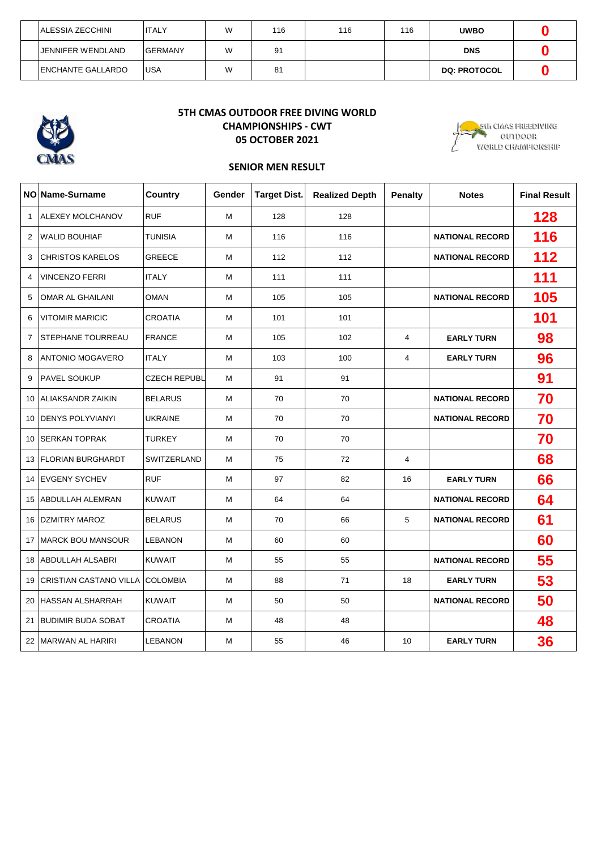| IALESSIA ZECCHINI        | <b>ITALY</b>    | W | 116 | 116 | 116 | <b>UWBO</b>         |  |
|--------------------------|-----------------|---|-----|-----|-----|---------------------|--|
| <b>JENNIFER WENDLAND</b> | <b>IGERMANY</b> | W | 91  |     |     | <b>DNS</b>          |  |
| <b>ENCHANTE GALLARDO</b> | <b>IUSA</b>     | W | 81  |     |     | <b>DQ: PROTOCOL</b> |  |



# **5TH CMAS OUTDOOR FREE DIVING WORLD CHAMPIONSHIPS - CWT 05 OCTOBER 2021**



## **SENIOR MEN RESULT**

|                | NO Name-Surname             | <b>Country</b>      | Gender | <b>Target Dist.</b> | <b>Realized Depth</b> | <b>Penalty</b> | <b>Notes</b>           | <b>Final Result</b> |
|----------------|-----------------------------|---------------------|--------|---------------------|-----------------------|----------------|------------------------|---------------------|
| $\mathbf{1}$   | ALEXEY MOLCHANOV            | <b>RUF</b>          | м      | 128                 | 128                   |                |                        | 128                 |
| 2              | <b>WALID BOUHIAF</b>        | <b>TUNISIA</b>      | M      | 116                 | 116                   |                | <b>NATIONAL RECORD</b> | 116                 |
| 3              | <b>CHRISTOS KARELOS</b>     | <b>GREECE</b>       | м      | 112                 | 112                   |                | <b>NATIONAL RECORD</b> | 112                 |
| 4              | <b>VINCENZO FERRI</b>       | <b>ITALY</b>        | М      | 111                 | 111                   |                |                        | 111                 |
| 5              | <b>OMAR AL GHAILANI</b>     | <b>OMAN</b>         | М      | 105                 | 105                   |                | <b>NATIONAL RECORD</b> | 105                 |
| 6              | <b>VITOMIR MARICIC</b>      | <b>CROATIA</b>      | М      | 101                 | 101                   |                |                        | 101                 |
| $\overline{7}$ | STEPHANE TOURREAU           | <b>FRANCE</b>       | М      | 105                 | 102                   | 4              | <b>EARLY TURN</b>      | 98                  |
| 8              | ANTONIO MOGAVERO            | <b>ITALY</b>        | M      | 103                 | 100                   | 4              | <b>EARLY TURN</b>      | 96                  |
| 9              | <b>PAVEL SOUKUP</b>         | <b>CZECH REPUBL</b> | м      | 91                  | 91                    |                |                        | 91                  |
| 10             | <b>ALIAKSANDR ZAIKIN</b>    | <b>BELARUS</b>      | М      | 70                  | 70                    |                | <b>NATIONAL RECORD</b> | 70                  |
| 10             | <b>IDENYS POLYVIANYI</b>    | <b>UKRAINE</b>      | М      | 70                  | 70                    |                | <b>NATIONAL RECORD</b> | 70                  |
| 10             | <b>SERKAN TOPRAK</b>        | <b>TURKEY</b>       | М      | 70                  | 70                    |                |                        | 70                  |
|                | <b>13 FLORIAN BURGHARDT</b> | SWITZERLAND         | M      | 75                  | 72                    | 4              |                        | 68                  |
|                | 14 EVGENY SYCHEV            | <b>RUF</b>          | М      | 97                  | 82                    | 16             | <b>EARLY TURN</b>      | 66                  |
| 15             | <b>ABDULLAH ALEMRAN</b>     | <b>KUWAIT</b>       | M      | 64                  | 64                    |                | <b>NATIONAL RECORD</b> | 64                  |
| 16             | <b>DZMITRY MAROZ</b>        | <b>BELARUS</b>      | M      | 70                  | 66                    | 5              | <b>NATIONAL RECORD</b> | 61                  |
|                | 17 MARCK BOU MANSOUR        | LEBANON             | M      | 60                  | 60                    |                |                        | 60                  |
| 18             | <b>ABDULLAH ALSABRI</b>     | <b>KUWAIT</b>       | M      | 55                  | 55                    |                | <b>NATIONAL RECORD</b> | 55                  |
| 19             | ICRISTIAN CASTANO VILLA     | <b>COLOMBIA</b>     | M      | 88                  | 71                    | 18             | <b>EARLY TURN</b>      | 53                  |
| 20             | <b>HASSAN ALSHARRAH</b>     | <b>KUWAIT</b>       | М      | 50                  | 50                    |                | <b>NATIONAL RECORD</b> | 50                  |
|                | 21 BUDIMIR BUDA SOBAT       | <b>CROATIA</b>      | M      | 48                  | 48                    |                |                        | 48                  |
|                | 22 MARWAN AL HARIRI         | LEBANON             | М      | 55                  | 46                    | 10             | <b>EARLY TURN</b>      | 36                  |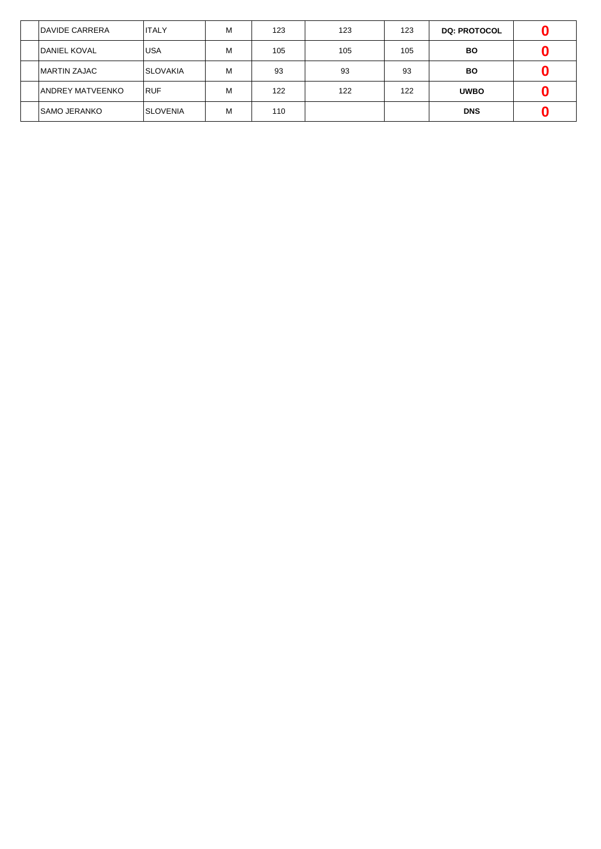| <b>DAVIDE CARRERA</b>    | <b>ITALY</b>    | м | 123 | 123 | 123 | <b>DQ: PROTOCOL</b> |  |
|--------------------------|-----------------|---|-----|-----|-----|---------------------|--|
| DANIEL KOVAL             | <b>USA</b>      | м | 105 | 105 | 105 | <b>BO</b>           |  |
| <b>IMARTIN ZAJAC</b>     | <b>SLOVAKIA</b> | м | 93  | 93  | 93  | BO                  |  |
| <b>JANDREY MATVEENKO</b> | <b>RUF</b>      | м | 122 | 122 | 122 | <b>UWBO</b>         |  |
| <b>SAMO JERANKO</b>      | <b>SLOVENIA</b> | м | 110 |     |     | <b>DNS</b>          |  |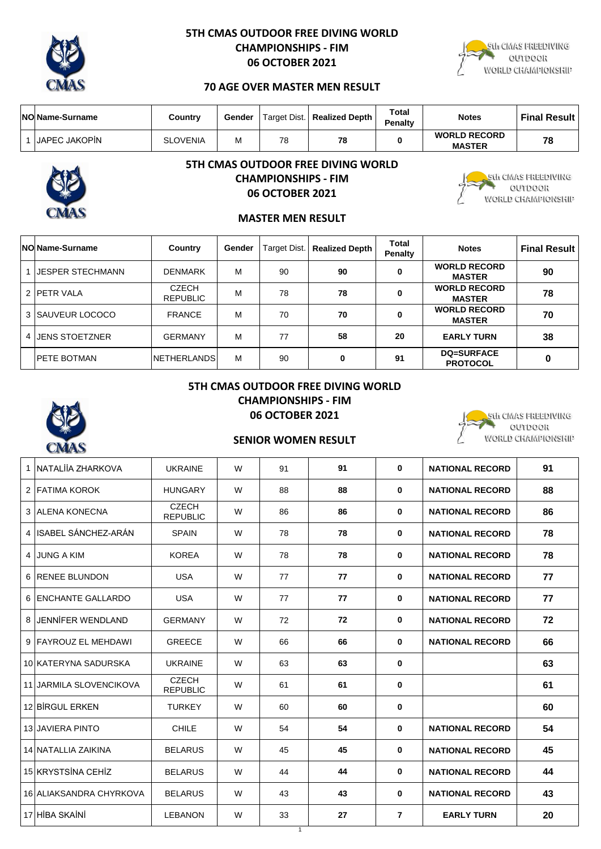

# **5TH CMAS OUTDOOR FREE DIVING WORLD CHAMPIONSHIPS - FIM 06 OCTOBER 2021**



# **70 AGE OVER MASTER MEN RESULT**

| <b>NO Name-Surname</b> | Country         | Gender |    | Target Dist.   Realized Depth | Total<br><b>Penalty</b> | <b>Notes</b>                         | <b>Final Result</b> |
|------------------------|-----------------|--------|----|-------------------------------|-------------------------|--------------------------------------|---------------------|
| <b>IJAPEC JAKOPIN</b>  | <b>SLOVENIA</b> | ΙVΙ    | 78 | 78                            |                         | <b>WORLD RECORD</b><br><b>MASTER</b> | 78                  |



# **5TH CMAS OUTDOOR FREE DIVING WORLD CHAMPIONSHIPS - FIM 06 OCTOBER 2021**



5th CMAS FREEDIVING aurboak WORLD CHAMPIONSHIP

# **MASTER MEN RESULT**

| <b>NO Name-Surname</b> | Country                         | Gender | Target Dist. | <b>Realized Depth</b> | Total<br>Penalty | <b>Notes</b>                         | <b>Final Result  </b> |
|------------------------|---------------------------------|--------|--------------|-----------------------|------------------|--------------------------------------|-----------------------|
| 1 IJESPER STECHMANN    | <b>DENMARK</b>                  | м      | 90           | 90                    | 0                | <b>WORLD RECORD</b><br><b>MASTER</b> | 90                    |
| 2 PETR VALA            | <b>CZECH</b><br><b>REPUBLIC</b> | м      | 78           | 78                    | 0                | <b>WORLD RECORD</b><br><b>MASTER</b> | 78                    |
| 3 SAUVEUR LOCOCO       | <b>FRANCE</b>                   | м      | 70           | 70                    | 0                | <b>WORLD RECORD</b><br><b>MASTER</b> | 70                    |
| 4 JENS STOETZNER       | <b>GERMANY</b>                  | М      | 77           | 58                    | 20               | <b>EARLY TURN</b>                    | 38                    |
| <b>IPETE BOTMAN</b>    | <b>NETHERLANDS</b>              | M      | 90           | 0                     | 91               | <b>DQ=SURFACE</b><br><b>PROTOCOL</b> |                       |

# **5TH CMAS OUTDOOR FREE DIVING WORLD CHAMPIONSHIPS - FIM 06 OCTOBER 2021**



# **SENIOR WOMEN RESULT**

| 1              | INATALIIA ZHARKOVA             | <b>UKRAINE</b>                  | W | 91 | 91 | $\mathbf{0}$   | <b>NATIONAL RECORD</b> | 91 |
|----------------|--------------------------------|---------------------------------|---|----|----|----------------|------------------------|----|
|                | 2 FATIMA KOROK                 | <b>HUNGARY</b>                  | W | 88 | 88 | $\mathbf{0}$   | <b>NATIONAL RECORD</b> | 88 |
|                | 3 ALENA KONECNA                | <b>CZECH</b><br><b>REPUBLIC</b> | W | 86 | 86 | $\mathbf 0$    | <b>NATIONAL RECORD</b> | 86 |
|                | 4 ISABEL SÁNCHEZ-ARÁN          | <b>SPAIN</b>                    | W | 78 | 78 | $\mathbf 0$    | <b>NATIONAL RECORD</b> | 78 |
| $\overline{4}$ | <b>JUNG A KIM</b>              | <b>KOREA</b>                    | W | 78 | 78 | $\mathbf 0$    | <b>NATIONAL RECORD</b> | 78 |
|                | 6 RENEE BLUNDON                | <b>USA</b>                      | W | 77 | 77 | 0              | <b>NATIONAL RECORD</b> | 77 |
|                | 6 ENCHANTE GALLARDO            | <b>USA</b>                      | W | 77 | 77 | $\mathbf{0}$   | <b>NATIONAL RECORD</b> | 77 |
| 8              | <b>JENNIFER WENDLAND</b>       | <b>GERMANY</b>                  | W | 72 | 72 | $\bf{0}$       | <b>NATIONAL RECORD</b> | 72 |
|                | 9 FAYROUZ EL MEHDAWI           | <b>GREECE</b>                   | W | 66 | 66 | 0              | <b>NATIONAL RECORD</b> | 66 |
|                | 10 KATERYNA SADURSKA           | <b>UKRAINE</b>                  | W | 63 | 63 | $\mathbf 0$    |                        | 63 |
|                | <b>11 JARMILA SLOVENCIKOVA</b> | <b>CZECH</b><br><b>REPUBLIC</b> | W | 61 | 61 | $\mathbf 0$    |                        | 61 |
|                | 12 BIRGUL ERKEN                | <b>TURKEY</b>                   | W | 60 | 60 | $\bf{0}$       |                        | 60 |
|                | <b>13 JAVIERA PINTO</b>        | <b>CHILE</b>                    | W | 54 | 54 | $\mathbf 0$    | <b>NATIONAL RECORD</b> | 54 |
|                | 14 NATALLIA ZAIKINA            | <b>BELARUS</b>                  | W | 45 | 45 | $\mathbf 0$    | <b>NATIONAL RECORD</b> | 45 |
|                | 15 KRYSTSINA CEHIZ             | <b>BELARUS</b>                  | W | 44 | 44 | 0              | <b>NATIONAL RECORD</b> | 44 |
|                | 16 ALIAKSANDRA CHYRKOVA        | <b>BELARUS</b>                  | W | 43 | 43 | 0              | <b>NATIONAL RECORD</b> | 43 |
|                | 17 HIBA SKAINI                 | <b>LEBANON</b>                  | W | 33 | 27 | $\overline{7}$ | <b>EARLY TURN</b>      | 20 |
|                |                                |                                 |   | 1  |    |                |                        |    |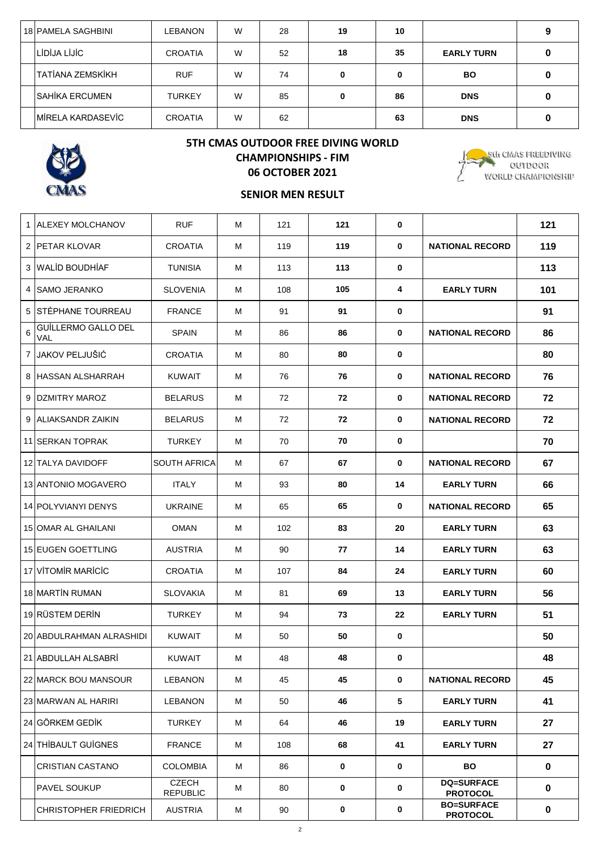| 18 PAMELA SAGHBINI       | LEBANON        | W | 28 | 19 | 10 |                   |  |
|--------------------------|----------------|---|----|----|----|-------------------|--|
| LIDIJA LIJIC             | <b>CROATIA</b> | W | 52 | 18 | 35 | <b>EARLY TURN</b> |  |
| ITATIANA ZEMSKIKH        | <b>RUF</b>     | W | 74 | 0  | 0  | <b>BO</b>         |  |
| <b>SAHİKA ERCUMEN</b>    | <b>TURKEY</b>  | W | 85 | 0  | 86 | <b>DNS</b>        |  |
| <b>MIRELA KARDASEVIC</b> | <b>CROATIA</b> | W | 62 |    | 63 | <b>DNS</b>        |  |



# **5TH CMAS OUTDOOR FREE DIVING WORLD CHAMPIONSHIPS - FIM 06 OCTOBER 2021**



# **SENIOR MEN RESULT**

|   | 1 ALEXEY MOLCHANOV           | <b>RUF</b>                      | м | 121 | 121         | $\mathbf 0$ |                                      | 121         |
|---|------------------------------|---------------------------------|---|-----|-------------|-------------|--------------------------------------|-------------|
|   | 2 PETAR KLOVAR               | <b>CROATIA</b>                  | м | 119 | 119         | $\bf{0}$    | <b>NATIONAL RECORD</b>               | 119         |
|   | 3 WALID BOUDHIAF             | <b>TUNISIA</b>                  | м | 113 | 113         | $\mathbf 0$ |                                      | 113         |
|   | 4 ISAMO JERANKO              | <b>SLOVENIA</b>                 | м | 108 | 105         | 4           | <b>EARLY TURN</b>                    | 101         |
|   | 5 STÉPHANE TOURREAU          | <b>FRANCE</b>                   | м | 91  | 91          | 0           |                                      | 91          |
| 6 | GUİLLERMO GALLO DEL<br>VAL   | <b>SPAIN</b>                    | м | 86  | 86          | 0           | <b>NATIONAL RECORD</b>               | 86          |
|   | 7 JAKOV PELJUŠIĆ             | <b>CROATIA</b>                  | м | 80  | 80          | $\mathbf 0$ |                                      | 80          |
|   | 8 HASSAN ALSHARRAH           | <b>KUWAIT</b>                   | м | 76  | 76          | 0           | <b>NATIONAL RECORD</b>               | 76          |
|   | 9 DZMITRY MAROZ              | <b>BELARUS</b>                  | м | 72  | 72          | 0           | <b>NATIONAL RECORD</b>               | 72          |
|   | 9 ALIAKSANDR ZAIKIN          | <b>BELARUS</b>                  | м | 72  | 72          | $\bf{0}$    | <b>NATIONAL RECORD</b>               | 72          |
|   | 11 SERKAN TOPRAK             | <b>TURKEY</b>                   | м | 70  | 70          | 0           |                                      | 70          |
|   | 12 TALYA DAVIDOFF            | <b>SOUTH AFRICA</b>             | м | 67  | 67          | 0           | <b>NATIONAL RECORD</b>               | 67          |
|   | 13 ANTONIO MOGAVERO          | <b>ITALY</b>                    | м | 93  | 80          | 14          | <b>EARLY TURN</b>                    | 66          |
|   | 14 POLYVIANYI DENYS          | <b>UKRAINE</b>                  | м | 65  | 65          | $\bf{0}$    | <b>NATIONAL RECORD</b>               | 65          |
|   | 15 OMAR AL GHAILANI          | <b>OMAN</b>                     | м | 102 | 83          | 20          | <b>EARLY TURN</b>                    | 63          |
|   | 15 EUGEN GOETTLING           | <b>AUSTRIA</b>                  | м | 90  | 77          | 14          | <b>EARLY TURN</b>                    | 63          |
|   | 17 VITOMIR MARICIC           | <b>CROATIA</b>                  | м | 107 | 84          | 24          | <b>EARLY TURN</b>                    | 60          |
|   | 18 MARTIN RUMAN              | <b>SLOVAKIA</b>                 | м | 81  | 69          | 13          | <b>EARLY TURN</b>                    | 56          |
|   | 19 RÜSTEM DERİN              | <b>TURKEY</b>                   | м | 94  | 73          | 22          | <b>EARLY TURN</b>                    | 51          |
|   | 20 ABDULRAHMAN ALRASHIDI     | <b>KUWAIT</b>                   | м | 50  | 50          | 0           |                                      | 50          |
|   | 21 ABDULLAH ALSABRI          | <b>KUWAIT</b>                   | м | 48  | 48          | 0           |                                      | 48          |
|   | 22 MARCK BOU MANSOUR         | <b>LEBANON</b>                  | М | 45  | 45          | 0           | <b>NATIONAL RECORD</b>               | 45          |
|   | 23 MARWAN AL HARIRI          | LEBANON                         | M | 50  | 46          | 5           | <b>EARLY TURN</b>                    | 41          |
|   | 24 GÖRKEM GEDİK              | TURKEY                          | М | 64  | 46          | 19          | <b>EARLY TURN</b>                    | 27          |
|   | 24 THİBAULT GUİGNES          | <b>FRANCE</b>                   | М | 108 | 68          | 41          | <b>EARLY TURN</b>                    | 27          |
|   | <b>CRISTIAN CASTANO</b>      | <b>COLOMBIA</b>                 | М | 86  | $\mathbf 0$ | 0           | <b>BO</b>                            | $\mathbf 0$ |
|   | PAVEL SOUKUP                 | <b>CZECH</b><br><b>REPUBLIC</b> | M | 80  | 0           | $\mathbf 0$ | <b>DQ=SURFACE</b><br><b>PROTOCOL</b> | $\mathbf 0$ |
|   | <b>CHRISTOPHER FRIEDRICH</b> | <b>AUSTRIA</b>                  | M | 90  | 0           | 0           | <b>BO=SURFACE</b><br><b>PROTOCOL</b> | 0           |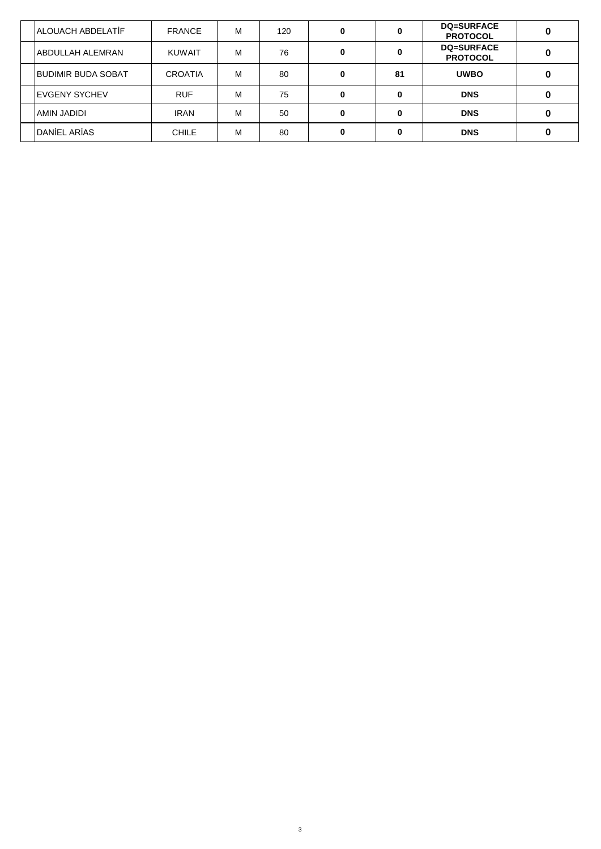| <b>ALOUACH ABDELATIF</b>  | <b>FRANCE</b>  | м | 120 | 0  | <b>DQ=SURFACE</b><br><b>PROTOCOL</b> |  |
|---------------------------|----------------|---|-----|----|--------------------------------------|--|
| IABDULLAH ALEMRAN         | <b>KUWAIT</b>  | м | 76  | 0  | <b>DQ=SURFACE</b><br><b>PROTOCOL</b> |  |
| <b>BUDIMIR BUDA SOBAT</b> | <b>CROATIA</b> | М | 80  | 81 | <b>UWBO</b>                          |  |
| <b>IEVGENY SYCHEV</b>     | <b>RUF</b>     | м | 75  | 0  | <b>DNS</b>                           |  |
| AMIN JADIDI               | <b>IRAN</b>    | м | 50  | 0  | <b>DNS</b>                           |  |
| <b>DANIEL ARIAS</b>       | <b>CHILE</b>   | м | 80  | 0  | <b>DNS</b>                           |  |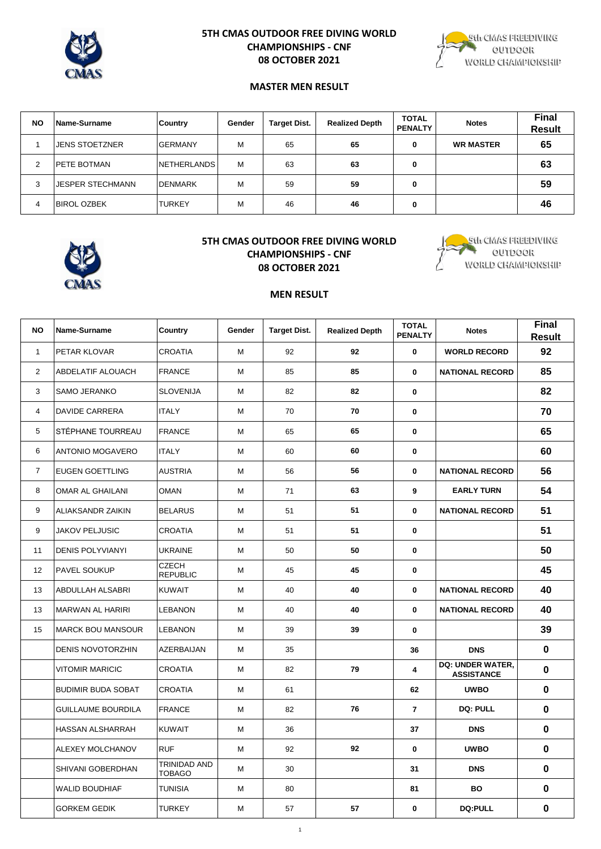

## **5TH CMAS OUTDOOR FREE DIVING WORLD CHAMPIONSHIPS - CNF 08 OCTOBER 2021**



#### **MASTER MEN RESULT**

| <b>NO</b>      | <b>Name-Surname</b>     | <b>Country</b>     | Gender | <b>Target Dist.</b> | <b>Realized Depth</b> | <b>TOTAL</b><br><b>PENALTY</b> | <b>Notes</b>     | <b>Final</b><br><b>Result</b> |
|----------------|-------------------------|--------------------|--------|---------------------|-----------------------|--------------------------------|------------------|-------------------------------|
|                | <b>JENS STOETZNER</b>   | <b>GERMANY</b>     | M      | 65                  | 65                    | 0                              | <b>WR MASTER</b> | 65                            |
| $\overline{2}$ | <b>IPETE BOTMAN</b>     | <b>NETHERLANDS</b> | М      | 63                  | 63                    | 0                              |                  | 63                            |
| 3              | <b>JESPER STECHMANN</b> | <b>DENMARK</b>     | M      | 59                  | 59                    | 0                              |                  | 59                            |
| 4              | <b>IBIROL OZBEK</b>     | <b>TURKEY</b>      | M      | 46                  | 46                    | 0                              |                  | 46                            |



## **5TH CMAS OUTDOOR FREE DIVING WORLD CHAMPIONSHIPS - CNF 08 OCTOBER 2021**



#### **MEN RESULT**

| <b>NO</b>      | Name-Surname              | Country                         | Gender | <b>Target Dist.</b> | <b>Realized Depth</b> | <b>TOTAL</b><br><b>PENALTY</b> | <b>Notes</b>                          | Final<br><b>Result</b> |
|----------------|---------------------------|---------------------------------|--------|---------------------|-----------------------|--------------------------------|---------------------------------------|------------------------|
| $\mathbf{1}$   | PETAR KLOVAR              | <b>CROATIA</b>                  | М      | 92                  | 92                    | $\mathbf{0}$                   | <b>WORLD RECORD</b>                   | 92                     |
| $\overline{2}$ | ABDELATIF ALOUACH         | <b>FRANCE</b>                   | M      | 85                  | 85                    | $\mathbf{0}$                   | <b>NATIONAL RECORD</b>                | 85                     |
| 3              | SAMO JERANKO              | <b>SLOVENIJA</b>                | M      | 82                  | 82                    | 0                              |                                       | 82                     |
| 4              | DAVIDE CARRERA            | <b>ITALY</b>                    | M      | 70                  | 70                    | 0                              |                                       | 70                     |
| 5              | STÉPHANE TOURREAU         | <b>FRANCE</b>                   | M      | 65                  | 65                    | $\mathbf 0$                    |                                       | 65                     |
| 6              | ANTONIO MOGAVERO          | <b>ITALY</b>                    | M      | 60                  | 60                    | 0                              |                                       | 60                     |
| $\overline{7}$ | <b>EUGEN GOETTLING</b>    | <b>AUSTRIA</b>                  | M      | 56                  | 56                    | $\mathbf 0$                    | <b>NATIONAL RECORD</b>                | 56                     |
| 8              | OMAR AL GHAILANI          | <b>OMAN</b>                     | M      | 71                  | 63                    | 9                              | <b>EARLY TURN</b>                     | 54                     |
| 9              | ALIAKSANDR ZAIKIN         | <b>BELARUS</b>                  | M      | 51                  | 51                    | 0                              | <b>NATIONAL RECORD</b>                | 51                     |
| 9              | <b>JAKOV PELJUSIC</b>     | <b>CROATIA</b>                  | M      | 51                  | 51                    | $\mathbf 0$                    |                                       | 51                     |
| 11             | <b>DENIS POLYVIANYI</b>   | <b>UKRAINE</b>                  | М      | 50                  | 50                    | 0                              |                                       | 50                     |
| 12             | PAVEL SOUKUP              | <b>CZECH</b><br><b>REPUBLIC</b> | M      | 45                  | 45                    | $\mathbf 0$                    |                                       | 45                     |
| 13             | ABDULLAH ALSABRI          | <b>KUWAIT</b>                   | M      | 40                  | 40                    | 0                              | <b>NATIONAL RECORD</b>                | 40                     |
| 13             | MARWAN AL HARIRI          | <b>LEBANON</b>                  | М      | 40                  | 40                    | 0                              | <b>NATIONAL RECORD</b>                | 40                     |
| 15             | <b>MARCK BOU MANSOUR</b>  | LEBANON                         | М      | 39                  | 39                    | $\mathbf 0$                    |                                       | 39                     |
|                | <b>DENIS NOVOTORZHIN</b>  | AZERBAIJAN                      | M      | 35                  |                       | 36                             | <b>DNS</b>                            | $\mathbf 0$            |
|                | <b>VITOMIR MARICIC</b>    | CROATIA                         | М      | 82                  | 79                    | $\overline{\mathbf{4}}$        | DQ: UNDER WATER,<br><b>ASSISTANCE</b> | $\mathbf 0$            |
|                | <b>BUDIMIR BUDA SOBAT</b> | <b>CROATIA</b>                  | М      | 61                  |                       | 62                             | <b>UWBO</b>                           | $\mathbf 0$            |
|                | <b>GUILLAUME BOURDILA</b> | <b>FRANCE</b>                   | М      | 82                  | 76                    | 7                              | <b>DQ: PULL</b>                       | $\mathbf 0$            |
|                | <b>HASSAN ALSHARRAH</b>   | <b>KUWAIT</b>                   | M      | 36                  |                       | 37                             | <b>DNS</b>                            | $\mathbf 0$            |
|                | ALEXEY MOLCHANOV          | <b>RUF</b>                      | M      | 92                  | 92                    | $\mathbf 0$                    | <b>UWBO</b>                           | $\mathbf 0$            |
|                | SHIVANI GOBERDHAN         | TRINIDAD AND<br><b>TOBAGO</b>   | M      | 30                  |                       | 31                             | <b>DNS</b>                            | $\mathbf 0$            |
|                | <b>WALID BOUDHIAF</b>     | TUNISIA                         | М      | 80                  |                       | 81                             | <b>BO</b>                             | $\mathbf 0$            |
|                | <b>GORKEM GEDIK</b>       | <b>TURKEY</b>                   | М      | 57                  | 57                    | 0                              | <b>DQ:PULL</b>                        | $\pmb{0}$              |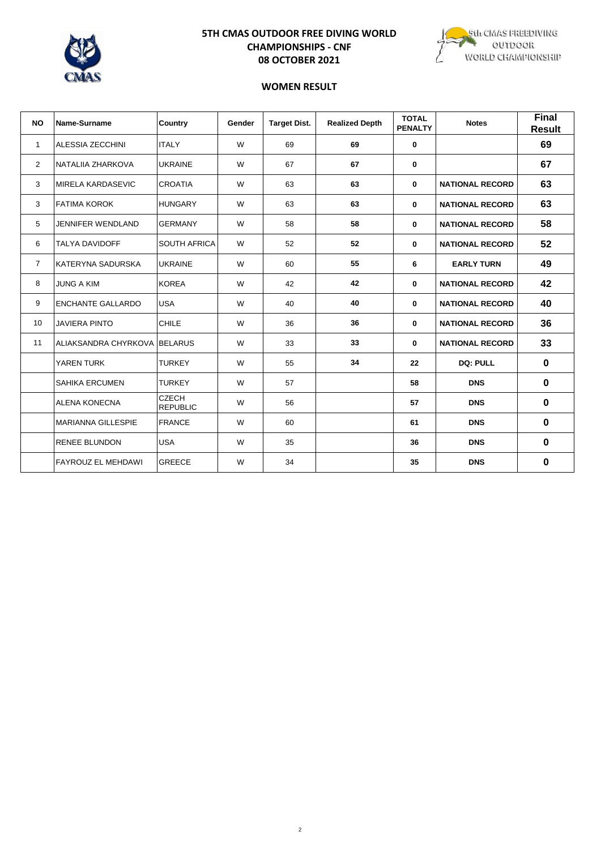

# **5TH CMAS OUTDOOR FREE DIVING WORLD CHAMPIONSHIPS - CNF 08 OCTOBER 2021**



## **WOMEN RESULT**

| <b>NO</b>       | Name-Surname                 | Country                         | Gender | <b>Target Dist.</b> | <b>Realized Depth</b> | <b>TOTAL</b><br><b>PENALTY</b> | <b>Notes</b>           | <b>Final</b><br><b>Result</b> |
|-----------------|------------------------------|---------------------------------|--------|---------------------|-----------------------|--------------------------------|------------------------|-------------------------------|
| $\mathbf{1}$    | ALESSIA ZECCHINI             | <b>ITALY</b>                    | W      | 69                  | 69                    | $\mathbf 0$                    |                        | 69                            |
| 2               | NATALIIA ZHARKOVA            | <b>UKRAINE</b>                  | W      | 67                  | 67                    | 0                              |                        | 67                            |
| 3               | <b>MIRELA KARDASEVIC</b>     | <b>CROATIA</b>                  | W      | 63                  | 63                    | $\mathbf{0}$                   | <b>NATIONAL RECORD</b> | 63                            |
| 3               | <b>FATIMA KOROK</b>          | <b>HUNGARY</b>                  | W      | 63                  | 63                    | 0                              | <b>NATIONAL RECORD</b> | 63                            |
| 5               | <b>JENNIFER WENDLAND</b>     | <b>GERMANY</b>                  | W      | 58                  | 58                    | 0                              | <b>NATIONAL RECORD</b> | 58                            |
| 6               | <b>TALYA DAVIDOFF</b>        | <b>SOUTH AFRICA</b>             | W      | 52                  | 52                    | 0                              | <b>NATIONAL RECORD</b> | 52                            |
| $\overline{7}$  | KATERYNA SADURSKA            | <b>UKRAINE</b>                  | W      | 60                  | 55                    | 6                              | <b>EARLY TURN</b>      | 49                            |
| 8               | <b>JUNG A KIM</b>            | <b>KOREA</b>                    | W      | 42                  | 42                    | $\mathbf 0$                    | <b>NATIONAL RECORD</b> | 42                            |
| 9               | <b>ENCHANTE GALLARDO</b>     | <b>USA</b>                      | W      | 40                  | 40                    | $\mathbf 0$                    | <b>NATIONAL RECORD</b> | 40                            |
| 10 <sup>1</sup> | <b>JAVIERA PINTO</b>         | <b>CHILE</b>                    | W      | 36                  | 36                    | 0                              | <b>NATIONAL RECORD</b> | 36                            |
| 11              | ALIAKSANDRA CHYRKOVA BELARUS |                                 | W      | 33                  | 33                    | 0                              | <b>NATIONAL RECORD</b> | 33                            |
|                 | YAREN TURK                   | <b>TURKEY</b>                   | W      | 55                  | 34                    | 22                             | <b>DQ: PULL</b>        | $\mathbf 0$                   |
|                 | <b>SAHIKA ERCUMEN</b>        | <b>TURKEY</b>                   | W      | 57                  |                       | 58                             | <b>DNS</b>             | $\bf{0}$                      |
|                 | <b>ALENA KONECNA</b>         | <b>CZECH</b><br><b>REPUBLIC</b> | W      | 56                  |                       | 57                             | <b>DNS</b>             | $\bf{0}$                      |
|                 | <b>MARIANNA GILLESPIE</b>    | <b>FRANCE</b>                   | W      | 60                  |                       | 61                             | <b>DNS</b>             | $\bf{0}$                      |
|                 | <b>RENEE BLUNDON</b>         | <b>USA</b>                      | W      | 35                  |                       | 36                             | <b>DNS</b>             | $\bf{0}$                      |
|                 | <b>FAYROUZ EL MEHDAWI</b>    | <b>GREECE</b>                   | W      | 34                  |                       | 35                             | <b>DNS</b>             | 0                             |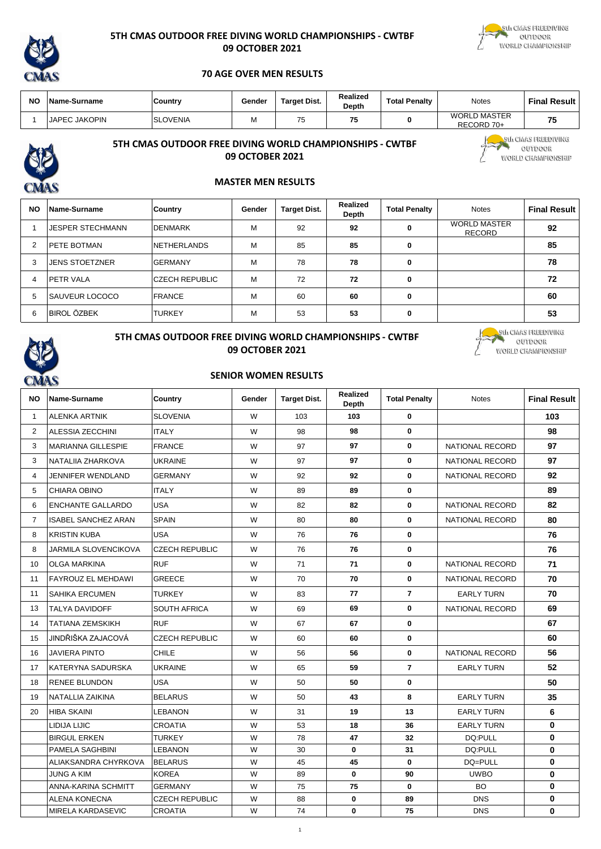

#### **5TH CMAS OUTDOOR FREE DIVING WORLD CHAMPIONSHIPS - CWTBF 09 OCTOBER 2021**



### **70 AGE OVER MEN RESULTS**

| <b>NO</b> | Name-Surname         | Country         | Gender | Target Dist. | Realized<br><b>Depth</b> | <b>Total Penalty</b> | Notes                             | <b>Final Result</b> |
|-----------|----------------------|-----------------|--------|--------------|--------------------------|----------------------|-----------------------------------|---------------------|
|           | <b>JAPEC JAKOPIN</b> | <b>SLOVENIA</b> | IVI    | 75           | 71<br>70                 | Ω                    | <b>WORLD MASTER</b><br>RECORD 70+ | -                   |



# **5TH CMAS OUTDOOR FREE DIVING WORLD CHAMPIONSHIPS - CWTBF 09 OCTOBER 2021**

Eth CIVIAS FREEDIVING<br>CUTDOOR WORLD CHAMPIONSHIP

# **MASTER MEN RESULTS**

| <b>NO</b> | Name-Surname            | <b>Country</b>         | Gender | <b>Target Dist.</b> | Realized<br>Depth | <b>Total Penalty</b> | <b>Notes</b>                         | <b>Final Result</b> |
|-----------|-------------------------|------------------------|--------|---------------------|-------------------|----------------------|--------------------------------------|---------------------|
|           | <b>JESPER STECHMANN</b> | <b>DENMARK</b>         | М      | 92                  | 92                | 0                    | <b>WORLD MASTER</b><br><b>RECORD</b> | 92                  |
|           | <b>PETE BOTMAN</b>      | <b>NETHERLANDS</b>     | М      | 85                  | 85                | 0                    |                                      | 85                  |
| 3         | <b>JENS STOETZNER</b>   | <b>GERMANY</b>         | М      | 78                  | 78                | 0                    |                                      | 78                  |
| 4         | <b>PETR VALA</b>        | <b>ICZECH REPUBLIC</b> | M      | 72                  | 72                | 0                    |                                      | 72                  |
| 5         | <b>SAUVEUR LOCOCO</b>   | <b>FRANCE</b>          | М      | 60                  | 60                | 0                    |                                      | 60                  |
| 6         | <b>BIROL ÖZBEK</b>      | <b>TURKEY</b>          | М      | 53                  | 53                | 0                    |                                      | 53                  |



### **5TH CMAS OUTDOOR FREE DIVING WORLD CHAMPIONSHIPS - CWTBF 09 OCTOBER 2021**



#### **SENIOR WOMEN RESULTS**

| <b>NO</b>      | Name-Surname               | Country               | Gender | <b>Target Dist.</b> | <b>Realized</b><br>Depth | <b>Total Penalty</b> | <b>Notes</b>           | <b>Final Result</b> |
|----------------|----------------------------|-----------------------|--------|---------------------|--------------------------|----------------------|------------------------|---------------------|
| $\mathbf{1}$   | <b>ALENKA ARTNIK</b>       | <b>SLOVENIA</b>       | W      | 103                 | 103                      | 0                    |                        | 103                 |
| $\overline{c}$ | <b>ALESSIA ZECCHINI</b>    | <b>ITALY</b>          | W      | 98                  | 98                       | $\mathbf 0$          |                        | 98                  |
| 3              | <b>MARIANNA GILLESPIE</b>  | <b>FRANCE</b>         | W      | 97                  | 97                       | $\mathbf 0$          | NATIONAL RECORD        | 97                  |
| 3              | NATALIIA ZHARKOVA          | UKRAINE               | W      | 97                  | 97                       | $\mathbf 0$          | NATIONAL RECORD        | 97                  |
| 4              | JENNIFER WENDLAND          | <b>GERMANY</b>        | W      | 92                  | 92                       | 0                    | NATIONAL RECORD        | 92                  |
| 5              | <b>CHIARA OBINO</b>        | <b>ITALY</b>          | W      | 89                  | 89                       | $\mathbf 0$          |                        | 89                  |
| 6              | <b>ENCHANTE GALLARDO</b>   | <b>USA</b>            | W      | 82                  | 82                       | $\mathbf 0$          | NATIONAL RECORD        | 82                  |
| $\overline{7}$ | <b>ISABEL SANCHEZ ARAN</b> | <b>SPAIN</b>          | W      | 80                  | 80                       | $\mathbf 0$          | <b>NATIONAL RECORD</b> | 80                  |
| 8              | <b>KRISTIN KUBA</b>        | <b>USA</b>            | W      | 76                  | 76                       | 0                    |                        | 76                  |
| 8              | JARMILA SLOVENCIKOVA       | <b>CZECH REPUBLIC</b> | W      | 76                  | 76                       | 0                    |                        | 76                  |
| 10             | <b>OLGA MARKINA</b>        | <b>RUF</b>            | W      | 71                  | 71                       | $\mathbf 0$          | <b>NATIONAL RECORD</b> | 71                  |
| 11             | FAYROUZ EL MEHDAWI         | <b>GREECE</b>         | W      | 70                  | 70                       | $\mathbf 0$          | NATIONAL RECORD        | 70                  |
| 11             | <b>SAHIKA ERCUMEN</b>      | <b>TURKEY</b>         | W      | 83                  | 77                       | $\overline{7}$       | <b>EARLY TURN</b>      | 70                  |
| 13             | <b>TALYA DAVIDOFF</b>      | <b>SOUTH AFRICA</b>   | W      | 69                  | 69                       | $\mathbf 0$          | NATIONAL RECORD        | 69                  |
| 14             | <b>TATIANA ZEMSKIKH</b>    | <b>RUF</b>            | W      | 67                  | 67                       | $\mathbf 0$          |                        | 67                  |
| 15             | JINDŘIŠKA ZAJACOVÁ         | <b>CZECH REPUBLIC</b> | W      | 60                  | 60                       | $\mathbf 0$          |                        | 60                  |
| 16             | <b>JAVIERA PINTO</b>       | <b>CHILE</b>          | W      | 56                  | 56                       | $\mathbf 0$          | <b>NATIONAL RECORD</b> | 56                  |
| 17             | <b>KATERYNA SADURSKA</b>   | <b>UKRAINE</b>        | W      | 65                  | 59                       | $\overline{7}$       | <b>EARLY TURN</b>      | 52                  |
| 18             | <b>RENEE BLUNDON</b>       | USA                   | W      | 50                  | 50                       | 0                    |                        | 50                  |
| 19             | <b>NATALLIA ZAIKINA</b>    | <b>BELARUS</b>        | W      | 50                  | 43                       | 8                    | <b>EARLY TURN</b>      | 35                  |
| 20             | <b>HIBA SKAINI</b>         | <b>LEBANON</b>        | W      | 31                  | 19                       | 13                   | <b>EARLY TURN</b>      | 6                   |
|                | LIDIJA LIJIC               | <b>CROATIA</b>        | W      | 53                  | 18                       | 36                   | <b>EARLY TURN</b>      | $\mathbf{0}$        |
|                | <b>BIRGUL ERKEN</b>        | <b>TURKEY</b>         | W      | 78                  | 47                       | 32                   | DQ:PULL                | 0                   |
|                | <b>PAMELA SAGHBINI</b>     | LEBANON               | W      | 30                  | $\mathbf{0}$             | 31                   | DQ:PULL                | 0                   |
|                | ALIAKSANDRA CHYRKOVA       | <b>BELARUS</b>        | W      | 45                  | 45                       | 0                    | DQ=PULL                | 0                   |
|                | <b>JUNG A KIM</b>          | <b>KOREA</b>          | W      | 89                  | 0                        | 90                   | <b>UWBO</b>            | $\mathbf{0}$        |
|                | ANNA-KARINA SCHMITT        | <b>GERMANY</b>        | W      | 75                  | 75                       | 0                    | <b>BO</b>              | $\mathbf{0}$        |
|                | <b>ALENA KONECNA</b>       | <b>CZECH REPUBLIC</b> | W      | 88                  | 0                        | 89                   | <b>DNS</b>             | $\mathbf 0$         |
|                | <b>MIRELA KARDASEVIC</b>   | <b>CROATIA</b>        | W      | 74                  | $\mathbf{0}$             | 75                   | <b>DNS</b>             | $\mathbf{0}$        |